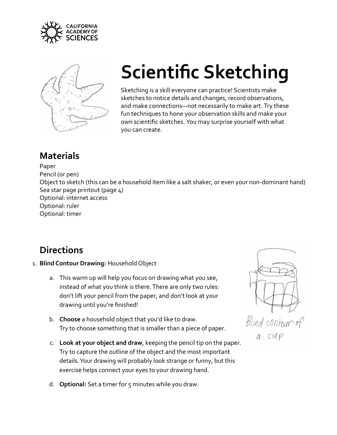



## **Scientific Sketching**

Sketching is a skill everyone can practice! Scientists make sketches to notice details and changes, record observations, and make connections—not necessarily to make art. Try these fun techniques to hone your observation skills and make your own scientific sketches. You may surprise yourself with what you can create.

## **Materials**

## Paper

Pencil (or pen)

Object to sketch (this can be a household item like a salt shaker, or even your non-dominant hand) Sea star page printout (page 4)

Optional: internet access Optional: ruler

Optional: timer

## **Directions**

- 1. **Blind Contour Drawing:** Household Object
	- a. This warm up will help you focus on drawing what you see, instead of what you think is there. There are only two rules: don't lift your pencil from the paper, and don't look at your drawing until you're finished!
	- b. **Choose** a household object that you'd like to draw. Try to choose something that is smaller than a piece of paper.
	- c. **Look at your object and draw**, keeping the pencil tip on the paper. Try to capture the outline of the object and the most important details. Your drawing will probably look strange or funny, but this exercise helps connect your eyes to your drawing hand.

Blind contour of a cup

d. **Optional:** Set a timer for 5 minutes while you draw.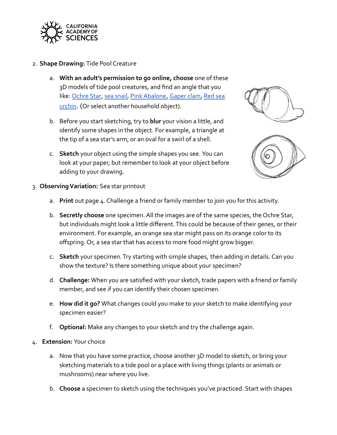

- 2. **Shape Drawing:** Tide Pool Creature
	- a. **With an adult's permission to go online, choose** one of these 3D models of tide pool creatures, and find an angle that you like: [Ochre Star](https://sketchfab.com/3d-models/pisaster-ochraceus-casiz-133794-9fe28d17d75641718109ce46a74f4540), [sea snail](https://sketchfab.com/3d-models/neptunea-amianta-casiz-62012-98a6fb65648148398a320d228bc8e04b), [Pink Abalone,](https://sketchfab.com/3d-models/haliotis-corrugata-casiz-173160-078ec99c0b984b95aa9147d230ee0f3e) [Gaper clam,](https://sketchfab.com/3d-models/tresus-allomyax-casiz-93995-2a782272b8ba4b6d8485869c22d1b583) [Red sea](https://sketchfab.com/3d-models/strongylocentrotus-franciscanus-casiz-75602-158f38df2cc54ae9968a6fdcfbfa3184) [urchin](https://sketchfab.com/3d-models/strongylocentrotus-franciscanus-casiz-75602-158f38df2cc54ae9968a6fdcfbfa3184). (Or select another household object).
	- b. Before you start sketching, try to **blur** your vision a little, and identify some shapes in the object. For example, a triangle at the tip of a sea star's arm, or an oval for a swirl of a shell.
	- c. **Sketch** your object using the simple shapes you see. You can look at your paper, but remember to look at your object before adding to your drawing.





- 3. **Observing Variation:** Sea star printout
	- a. **Print** out page 4. Challenge a friend or family member to join you for this activity.
	- b. **Secretly choose** one specimen. All the images are of the same species, the Ochre Star, but individuals might look a little different. This could be because of their genes, or their environment. For example, an orange sea star might pass on its orange color to its offspring. Or, a sea star that has access to more food might grow bigger.
	- c. **Sketch** your specimen. Try starting with simple shapes, then adding in details. Can you show the texture? Is there something unique about your specimen?
	- d. **Challenge:** When you are satisfied with your sketch, trade papers with a friend or family member, and see if you can identify their chosen specimen.
	- e. **How did it go?** What changes could you make to your sketch to make identifying your specimen easier?
	- f. **Optional:** Make any changes to your sketch and try the challenge again.
- 4. **Extension:** Your choice
	- a. Now that you have some practice, choose another 3D model to sketch, or bring your sketching materials to a tide pool or a place with living things (plants or animals or mushrooms) near where you live.
	- b. **Choose** a specimen to sketch using the techniques you've practiced. Start with shapes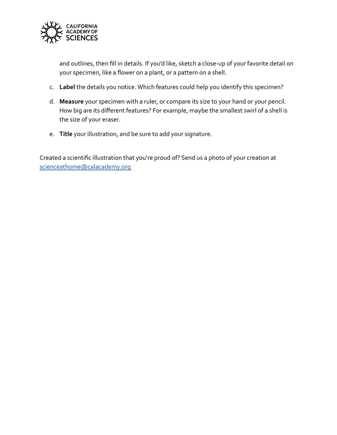

and outlines, then fill in details. If you'd like, sketch a close-up of your favorite detail on your specimen, like a flower on a plant, or a pattern on a shell.

- c. **Label** the details you notice. Which features could help you identify this specimen?
- d. **Measure** your specimen with a ruler, or compare its size to your hand or your pencil. How big are its different features? For example, maybe the smallest swirl of a shell is the size of your eraser.
- e. **Title** your illustration, and be sure to add your signature.

Created a scientific illustration that you're proud of? Send us a photo of your creation at [scienceathome@calacademy.org](mailto:scienceathome@calacademy.org)